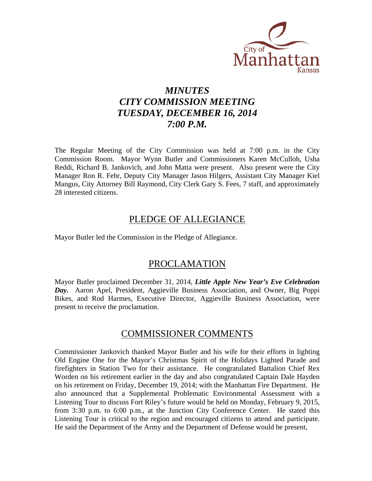

# *MINUTES CITY COMMISSION MEETING TUESDAY, DECEMBER 16, 2014 7:00 P.M.*

The Regular Meeting of the City Commission was held at 7:00 p.m. in the City Commission Room. Mayor Wynn Butler and Commissioners Karen McCulloh, Usha Reddi, Richard B. Jankovich, and John Matta were present. Also present were the City Manager Ron R. Fehr, Deputy City Manager Jason Hilgers, Assistant City Manager Kiel Mangus, City Attorney Bill Raymond, City Clerk Gary S. Fees, 7 staff, and approximately 28 interested citizens.

# PLEDGE OF ALLEGIANCE

Mayor Butler led the Commission in the Pledge of Allegiance.

# PROCLAMATION

Mayor Butler proclaimed December 31, 2014, *Little Apple New Year's Eve Celebration Day.* Aaron Apel, President, Aggieville Business Association, and Owner, Big Poppi Bikes, and Rod Harmes, Executive Director, Aggieville Business Association, were present to receive the proclamation.

# COMMISSIONER COMMENTS

Commissioner Jankovich thanked Mayor Butler and his wife for their efforts in lighting Old Engine One for the Mayor's Christmas Spirit of the Holidays Lighted Parade and firefighters in Station Two for their assistance. He congratulated Battalion Chief Rex Worden on his retirement earlier in the day and also congratulated Captain Dale Hayden on his retirement on Friday, December 19, 2014; with the Manhattan Fire Department. He also announced that a Supplemental Problematic Environmental Assessment with a Listening Tour to discuss Fort Riley's future would be held on Monday, February 9, 2015, from 3:30 p.m. to 6:00 p.m., at the Junction City Conference Center. He stated this Listening Tour is critical to the region and encouraged citizens to attend and participate. He said the Department of the Army and the Department of Defense would be present,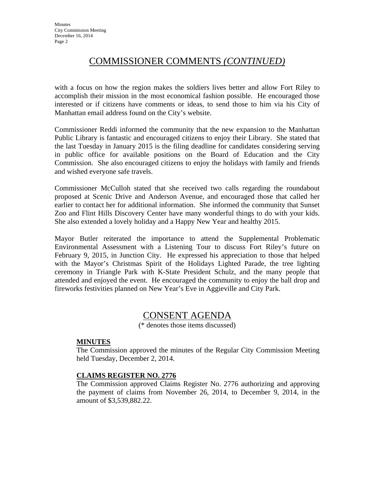# COMMISSIONER COMMENTS *(CONTINUED)*

with a focus on how the region makes the soldiers lives better and allow Fort Riley to accomplish their mission in the most economical fashion possible. He encouraged those interested or if citizens have comments or ideas, to send those to him via his City of Manhattan email address found on the City's website.

Commissioner Reddi informed the community that the new expansion to the Manhattan Public Library is fantastic and encouraged citizens to enjoy their Library. She stated that the last Tuesday in January 2015 is the filing deadline for candidates considering serving in public office for available positions on the Board of Education and the City Commission. She also encouraged citizens to enjoy the holidays with family and friends and wished everyone safe travels.

Commissioner McCulloh stated that she received two calls regarding the roundabout proposed at Scenic Drive and Anderson Avenue, and encouraged those that called her earlier to contact her for additional information. She informed the community that Sunset Zoo and Flint Hills Discovery Center have many wonderful things to do with your kids. She also extended a lovely holiday and a Happy New Year and healthy 2015.

Mayor Butler reiterated the importance to attend the Supplemental Problematic Environmental Assessment with a Listening Tour to discuss Fort Riley's future on February 9, 2015, in Junction City. He expressed his appreciation to those that helped with the Mayor's Christmas Spirit of the Holidays Lighted Parade, the tree lighting ceremony in Triangle Park with K-State President Schulz, and the many people that attended and enjoyed the event. He encouraged the community to enjoy the ball drop and fireworks festivities planned on New Year's Eve in Aggieville and City Park.

# CONSENT AGENDA

(\* denotes those items discussed)

### **MINUTES**

The Commission approved the minutes of the Regular City Commission Meeting held Tuesday, December 2, 2014.

### **CLAIMS REGISTER NO. 2776**

The Commission approved Claims Register No. 2776 authorizing and approving the payment of claims from November 26, 2014, to December 9, 2014, in the amount of \$3,539,882.22.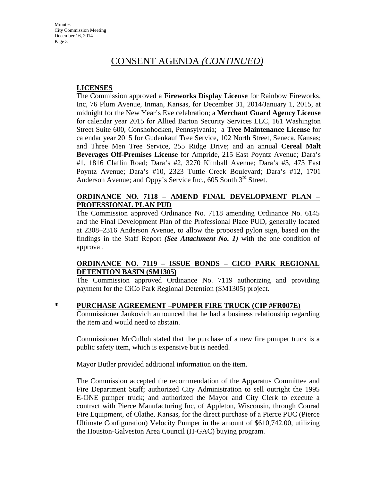### **LICENSES**

The Commission approved a **Fireworks Display License** for Rainbow Fireworks, Inc, 76 Plum Avenue, Inman, Kansas, for December 31, 2014/January 1, 2015, at midnight for the New Year's Eve celebration; a **Merchant Guard Agency License** for calendar year 2015 for Allied Barton Security Services LLC, 161 Washington Street Suite 600, Conshohocken, Pennsylvania; a **Tree Maintenance License** for calendar year 2015 for Gudenkauf Tree Service, 102 North Street, Seneca, Kansas; and Three Men Tree Service, 255 Ridge Drive; and an annual **Cereal Malt Beverages Off-Premises License** for Ampride, 215 East Poyntz Avenue; Dara's #1, 1816 Claflin Road; Dara's #2, 3270 Kimball Avenue; Dara's #3, 473 East Poyntz Avenue; Dara's #10, 2323 Tuttle Creek Boulevard; Dara's #12, 1701 Anderson Avenue; and Oppy's Service Inc., 605 South  $3<sup>rd</sup>$  Street.

### **ORDINANCE NO. 7118 – AMEND FINAL DEVELOPMENT PLAN – PROFESSIONAL PLAN PUD**

The Commission approved Ordinance No. 7118 amending Ordinance No. 6145 and the Final Development Plan of the Professional Place PUD, generally located at 2308–2316 Anderson Avenue, to allow the proposed pylon sign, based on the findings in the Staff Report *(See Attachment No. 1)* with the one condition of approval.

### **ORDINANCE NO. 7119 – ISSUE BONDS – CICO PARK REGIONAL DETENTION BASIN (SM1305)**

The Commission approved Ordinance No. 7119 authorizing and providing payment for the CiCo Park Regional Detention (SM1305) project.

#### **\* PURCHASE AGREEMENT –PUMPER FIRE TRUCK (CIP #FR007E)**

Commissioner Jankovich announced that he had a business relationship regarding the item and would need to abstain.

Commissioner McCulloh stated that the purchase of a new fire pumper truck is a public safety item, which is expensive but is needed.

Mayor Butler provided additional information on the item.

The Commission accepted the recommendation of the Apparatus Committee and Fire Department Staff; authorized City Administration to sell outright the 1995 E-ONE pumper truck; and authorized the Mayor and City Clerk to execute a contract with Pierce Manufacturing Inc, of Appleton, Wisconsin, through Conrad Fire Equipment, of Olathe, Kansas, for the direct purchase of a Pierce PUC (Pierce Ultimate Configuration) Velocity Pumper in the amount of \$610,742.00, utilizing the Houston-Galveston Area Council (H-GAC) buying program.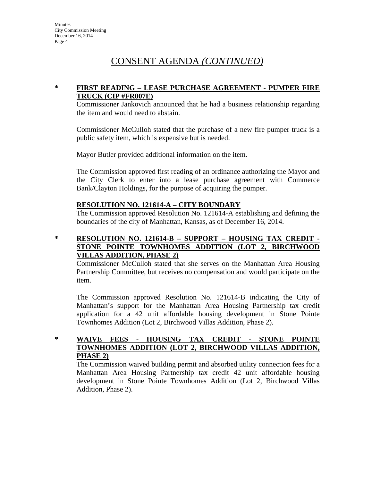### **\* FIRST READING – LEASE PURCHASE AGREEMENT - PUMPER FIRE TRUCK (CIP #FR007E)**

Commissioner Jankovich announced that he had a business relationship regarding the item and would need to abstain.

Commissioner McCulloh stated that the purchase of a new fire pumper truck is a public safety item, which is expensive but is needed.

Mayor Butler provided additional information on the item.

The Commission approved first reading of an ordinance authorizing the Mayor and the City Clerk to enter into a lease purchase agreement with Commerce Bank/Clayton Holdings, for the purpose of acquiring the pumper.

### **RESOLUTION NO. 121614-A – CITY BOUNDARY**

The Commission approved Resolution No. 121614-A establishing and defining the boundaries of the city of Manhattan, Kansas, as of December 16, 2014.

## **\* RESOLUTION NO. 121614-B – SUPPORT – HOUSING TAX CREDIT - STONE POINTE TOWNHOMES ADDITION (LOT 2, BIRCHWOOD VILLAS ADDITION, PHASE 2)**

Commissioner McCulloh stated that she serves on the Manhattan Area Housing Partnership Committee, but receives no compensation and would participate on the item.

The Commission approved Resolution No. 121614-B indicating the City of Manhattan's support for the Manhattan Area Housing Partnership tax credit application for a 42 unit affordable housing development in Stone Pointe Townhomes Addition (Lot 2, Birchwood Villas Addition, Phase 2).

## **\* WAIVE FEES - HOUSING TAX CREDIT - STONE POINTE TOWNHOMES ADDITION (LOT 2, BIRCHWOOD VILLAS ADDITION, PHASE 2)**

The Commission waived building permit and absorbed utility connection fees for a Manhattan Area Housing Partnership tax credit 42 unit affordable housing development in Stone Pointe Townhomes Addition (Lot 2, Birchwood Villas Addition, Phase 2).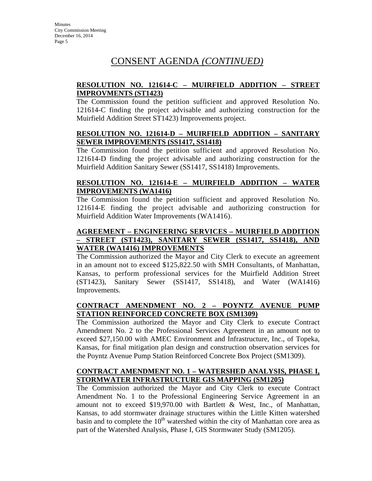### **RESOLUTION NO. 121614-C – MUIRFIELD ADDITION – STREET IMPROVMENTS (ST1423)**

The Commission found the petition sufficient and approved Resolution No. 121614-C finding the project advisable and authorizing construction for the Muirfield Addition Street ST1423) Improvements project.

### **RESOLUTION NO. 121614-D – MUIRFIELD ADDITION – SANITARY SEWER IMPROVEMENTS (SS1417, SS1418)**

The Commission found the petition sufficient and approved Resolution No. 121614-D finding the project advisable and authorizing construction for the Muirfield Addition Sanitary Sewer (SS1417, SS1418) Improvements.

### **RESOLUTION NO. 121614-E – MUIRFIELD ADDITION – WATER IMPROVEMENTS (WA1416)**

The Commission found the petition sufficient and approved Resolution No. 121614-E finding the project advisable and authorizing construction for Muirfield Addition Water Improvements (WA1416).

### **AGREEMENT – ENGINEERING SERVICES – MUIRFIELD ADDITION – STREET (ST1423), SANITARY SEWER (SS1417, SS1418), AND WATER (WA1416) IMPROVEMENTS**

The Commission authorized the Mayor and City Clerk to execute an agreement in an amount not to exceed \$125,822.50 with SMH Consultants, of Manhattan, Kansas, to perform professional services for the Muirfield Addition Street (ST1423), Sanitary Sewer (SS1417, SS1418), and Water (WA1416) Improvements.

## **CONTRACT AMENDMENT NO. 2 – POYNTZ AVENUE PUMP STATION REINFORCED CONCRETE BOX (SM1309)**

The Commission authorized the Mayor and City Clerk to execute Contract Amendment No. 2 to the Professional Services Agreement in an amount not to exceed \$27,150.00 with AMEC Environment and Infrastructure, Inc., of Topeka, Kansas, for final mitigation plan design and construction observation services for the Poyntz Avenue Pump Station Reinforced Concrete Box Project (SM1309).

### **CONTRACT AMENDMENT NO. 1 – WATERSHED ANALYSIS, PHASE I, STORMWATER INFRASTRUCTURE GIS MAPPING (SM1205)**

The Commission authorized the Mayor and City Clerk to execute Contract Amendment No. 1 to the Professional Engineering Service Agreement in an amount not to exceed \$19,970.00 with Bartlett & West, Inc., of Manhattan, Kansas, to add stormwater drainage structures within the Little Kitten watershed basin and to complete the  $10<sup>th</sup>$  watershed within the city of Manhattan core area as part of the Watershed Analysis, Phase I, GIS Stormwater Study (SM1205).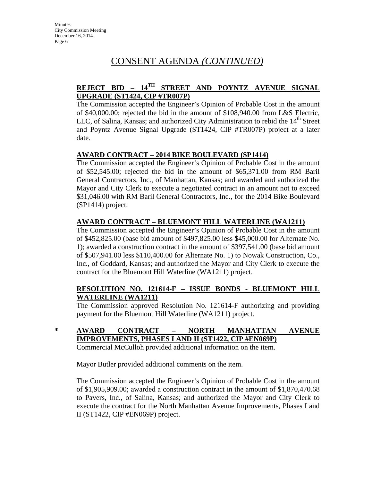## **REJECT BID – 14TH STREET AND POYNTZ AVENUE SIGNAL UPGRADE (ST1424, CIP #TR007P)**

The Commission accepted the Engineer's Opinion of Probable Cost in the amount of \$40,000.00; rejected the bid in the amount of \$108,940.00 from L&S Electric, LLC, of Salina, Kansas; and authorized City Administration to rebid the  $14<sup>th</sup>$  Street and Poyntz Avenue Signal Upgrade (ST1424, CIP #TR007P) project at a later date.

## **AWARD CONTRACT – 2014 BIKE BOULEVARD (SP1414)**

The Commission accepted the Engineer's Opinion of Probable Cost in the amount of \$52,545.00; rejected the bid in the amount of \$65,371.00 from RM Baril General Contractors, Inc., of Manhattan, Kansas; and awarded and authorized the Mayor and City Clerk to execute a negotiated contract in an amount not to exceed \$31,046.00 with RM Baril General Contractors, Inc., for the 2014 Bike Boulevard (SP1414) project.

## **AWARD CONTRACT – BLUEMONT HILL WATERLINE (WA1211)**

The Commission accepted the Engineer's Opinion of Probable Cost in the amount of \$452,825.00 (base bid amount of \$497,825.00 less \$45,000.00 for Alternate No. 1); awarded a construction contract in the amount of \$397,541.00 (base bid amount of \$507,941.00 less \$110,400.00 for Alternate No. 1) to Nowak Construction, Co., Inc., of Goddard, Kansas; and authorized the Mayor and City Clerk to execute the contract for the Bluemont Hill Waterline (WA1211) project.

## **RESOLUTION NO. 121614-F – ISSUE BONDS - BLUEMONT HILL WATERLINE (WA1211)**

The Commission approved Resolution No. 121614-F authorizing and providing payment for the Bluemont Hill Waterline (WA1211) project.

# **\* AWARD CONTRACT – NORTH MANHATTAN AVENUE IMPROVEMENTS, PHASES I AND II (ST1422, CIP #EN069P)**

Commercial McCulloh provided additional information on the item.

Mayor Butler provided additional comments on the item.

The Commission accepted the Engineer's Opinion of Probable Cost in the amount of \$1,905,909.00; awarded a construction contract in the amount of \$1,870,470.68 to Pavers, Inc., of Salina, Kansas; and authorized the Mayor and City Clerk to execute the contract for the North Manhattan Avenue Improvements, Phases I and II (ST1422, CIP #EN069P) project.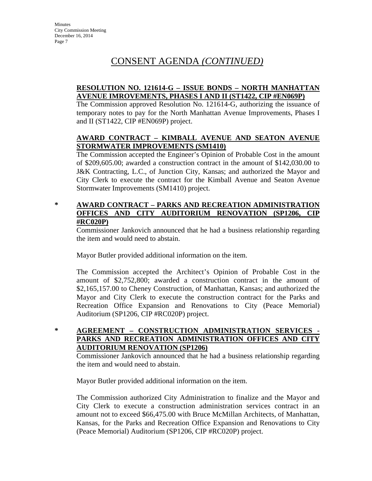### **RESOLUTION NO. 121614-G – ISSUE BONDS – NORTH MANHATTAN AVENUE IMROVEMENTS, PHASES I AND II (ST1422, CIP #EN069P)**

The Commission approved Resolution No. 121614-G, authorizing the issuance of temporary notes to pay for the North Manhattan Avenue Improvements, Phases I and II (ST1422, CIP #EN069P) project.

### **AWARD CONTRACT – KIMBALL AVENUE AND SEATON AVENUE STORMWATER IMPROVEMENTS (SM1410)**

The Commission accepted the Engineer's Opinion of Probable Cost in the amount of \$209,605.00; awarded a construction contract in the amount of \$142,030.00 to J&K Contracting, L.C., of Junction City, Kansas; and authorized the Mayor and City Clerk to execute the contract for the Kimball Avenue and Seaton Avenue Stormwater Improvements (SM1410) project.

### **\* AWARD CONTRACT – PARKS AND RECREATION ADMINISTRATION OFFICES AND CITY AUDITORIUM RENOVATION (SP1206, CIP #RC020P)**

Commissioner Jankovich announced that he had a business relationship regarding the item and would need to abstain.

Mayor Butler provided additional information on the item.

The Commission accepted the Architect's Opinion of Probable Cost in the amount of \$2,752,800; awarded a construction contract in the amount of \$2,165,157.00 to Cheney Construction, of Manhattan, Kansas; and authorized the Mayor and City Clerk to execute the construction contract for the Parks and Recreation Office Expansion and Renovations to City (Peace Memorial) Auditorium (SP1206, CIP #RC020P) project.

**\* AGREEMENT – CONSTRUCTION ADMINISTRATION SERVICES - PARKS AND RECREATION ADMINISTRATION OFFICES AND CITY AUDITORIUM RENOVATION (SP1206)**

Commissioner Jankovich announced that he had a business relationship regarding the item and would need to abstain.

Mayor Butler provided additional information on the item.

The Commission authorized City Administration to finalize and the Mayor and City Clerk to execute a construction administration services contract in an amount not to exceed \$66,475.00 with Bruce McMillan Architects, of Manhattan, Kansas, for the Parks and Recreation Office Expansion and Renovations to City (Peace Memorial) Auditorium (SP1206, CIP #RC020P) project.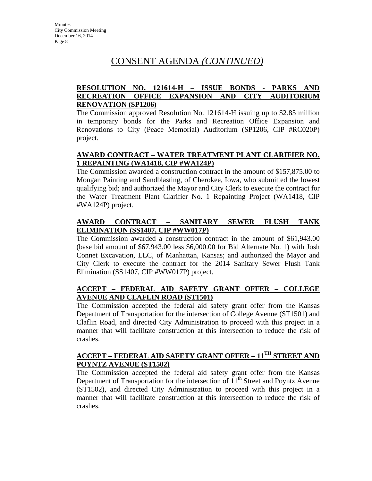### **RESOLUTION NO. 121614-H – ISSUE BONDS - PARKS AND RECREATION OFFICE EXPANSION AND CITY AUDITORIUM RENOVATION (SP1206)**

The Commission approved Resolution No. 121614-H issuing up to \$2.85 million in temporary bonds for the Parks and Recreation Office Expansion and Renovations to City (Peace Memorial) Auditorium (SP1206, CIP #RC020P) project.

### **AWARD CONTRACT – WATER TREATMENT PLANT CLARIFIER NO. 1 REPAINTING (WA1418, CIP #WA124P)**

The Commission awarded a construction contract in the amount of \$157,875.00 to Mongan Painting and Sandblasting, of Cherokee, Iowa, who submitted the lowest qualifying bid; and authorized the Mayor and City Clerk to execute the contract for the Water Treatment Plant Clarifier No. 1 Repainting Project (WA1418, CIP #WA124P) project.

## **AWARD CONTRACT – SANITARY SEWER FLUSH TANK ELIMINATION (SS1407, CIP #WW017P)**

The Commission awarded a construction contract in the amount of \$61,943.00 (base bid amount of \$67,943.00 less \$6,000.00 for Bid Alternate No. 1) with Josh Connet Excavation, LLC, of Manhattan, Kansas; and authorized the Mayor and City Clerk to execute the contract for the 2014 Sanitary Sewer Flush Tank Elimination (SS1407, CIP #WW017P) project.

## **ACCEPT – FEDERAL AID SAFETY GRANT OFFER – COLLEGE AVENUE AND CLAFLIN ROAD (ST1501)**

The Commission accepted the federal aid safety grant offer from the Kansas Department of Transportation for the intersection of College Avenue (ST1501) and Claflin Road, and directed City Administration to proceed with this project in a manner that will facilitate construction at this intersection to reduce the risk of crashes.

## **ACCEPT – FEDERAL AID SAFETY GRANT OFFER – 11TH STREET AND POYNTZ AVENUE (ST1502)**

The Commission accepted the federal aid safety grant offer from the Kansas Department of Transportation for the intersection of  $11<sup>th</sup>$  Street and Poyntz Avenue (ST1502), and directed City Administration to proceed with this project in a manner that will facilitate construction at this intersection to reduce the risk of crashes.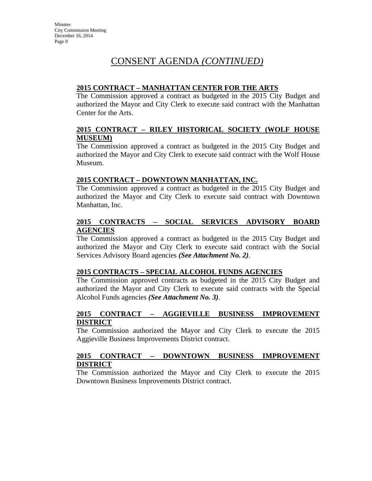### **2015 CONTRACT – MANHATTAN CENTER FOR THE ARTS**

The Commission approved a contract as budgeted in the 2015 City Budget and authorized the Mayor and City Clerk to execute said contract with the Manhattan Center for the Arts.

### **2015 CONTRACT – RILEY HISTORICAL SOCIETY (WOLF HOUSE MUSEUM)**

The Commission approved a contract as budgeted in the 2015 City Budget and authorized the Mayor and City Clerk to execute said contract with the Wolf House Museum.

### **2015 CONTRACT – DOWNTOWN MANHATTAN, INC.**

The Commission approved a contract as budgeted in the 2015 City Budget and authorized the Mayor and City Clerk to execute said contract with Downtown Manhattan, Inc.

### **2015 CONTRACTS – SOCIAL SERVICES ADVISORY BOARD AGENCIES**

The Commission approved a contract as budgeted in the 2015 City Budget and authorized the Mayor and City Clerk to execute said contract with the Social Services Advisory Board agencies *(See Attachment No. 2)*.

### **2015 CONTRACTS – SPECIAL ALCOHOL FUNDS AGENCIES**

The Commission approved contracts as budgeted in the 2015 City Budget and authorized the Mayor and City Clerk to execute said contracts with the Special Alcohol Funds agencies *(See Attachment No. 3)*.

### **2015 CONTRACT – AGGIEVILLE BUSINESS IMPROVEMENT DISTRICT**

The Commission authorized the Mayor and City Clerk to execute the 2015 Aggieville Business Improvements District contract.

### **2015 CONTRACT – DOWNTOWN BUSINESS IMPROVEMENT DISTRICT**

The Commission authorized the Mayor and City Clerk to execute the 2015 Downtown Business Improvements District contract.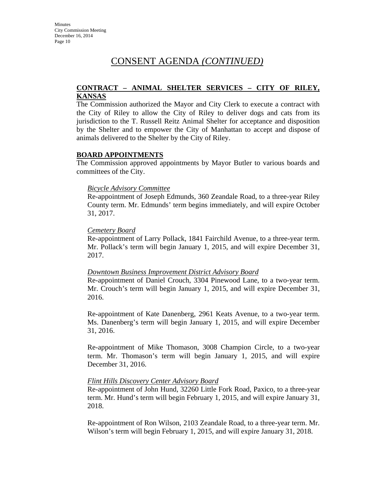### **CONTRACT – ANIMAL SHELTER SERVICES – CITY OF RILEY, KANSAS**

The Commission authorized the Mayor and City Clerk to execute a contract with the City of Riley to allow the City of Riley to deliver dogs and cats from its jurisdiction to the T. Russell Reitz Animal Shelter for acceptance and disposition by the Shelter and to empower the City of Manhattan to accept and dispose of animals delivered to the Shelter by the City of Riley.

### **BOARD APPOINTMENTS**

 The Commission approved appointments by Mayor Butler to various boards and committees of the City.

### *Bicycle Advisory Committee*

Re-appointment of Joseph Edmunds, 360 Zeandale Road, to a three-year Riley County term. Mr. Edmunds' term begins immediately, and will expire October 31, 2017.

#### *Cemetery Board*

Re-appointment of Larry Pollack, 1841 Fairchild Avenue, to a three-year term. Mr. Pollack's term will begin January 1, 2015, and will expire December 31, 2017.

#### *Downtown Business Improvement District Advisory Board*

Re-appointment of Daniel Crouch, 3304 Pinewood Lane, to a two-year term. Mr. Crouch's term will begin January 1, 2015, and will expire December 31, 2016.

Re-appointment of Kate Danenberg, 2961 Keats Avenue, to a two-year term. Ms. Danenberg's term will begin January 1, 2015, and will expire December 31, 2016.

Re-appointment of Mike Thomason, 3008 Champion Circle, to a two-year term. Mr. Thomason's term will begin January 1, 2015, and will expire December 31, 2016.

#### *Flint Hills Discovery Center Advisory Board*

Re-appointment of John Hund, 32260 Little Fork Road, Paxico, to a three-year term. Mr. Hund's term will begin February 1, 2015, and will expire January 31, 2018.

Re-appointment of Ron Wilson, 2103 Zeandale Road, to a three-year term. Mr. Wilson's term will begin February 1, 2015, and will expire January 31, 2018.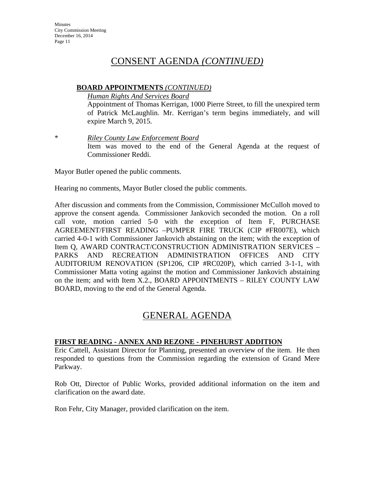## **BOARD APPOINTMENTS** *(CONTINUED)*

*Human Rights And Services Board*

Appointment of Thomas Kerrigan, 1000 Pierre Street, to fill the unexpired term of Patrick McLaughlin. Mr. Kerrigan's term begins immediately, and will expire March 9, 2015.

\* *Riley County Law Enforcement Board* Item was moved to the end of the General Agenda at the request of Commissioner Reddi.

Mayor Butler opened the public comments.

Hearing no comments, Mayor Butler closed the public comments.

After discussion and comments from the Commission, Commissioner McCulloh moved to approve the consent agenda. Commissioner Jankovich seconded the motion. On a roll call vote, motion carried 5-0 with the exception of Item F, PURCHASE AGREEMENT/FIRST READING –PUMPER FIRE TRUCK (CIP #FR007E), which carried 4-0-1 with Commissioner Jankovich abstaining on the item; with the exception of Item Q, AWARD CONTRACT/CONSTRUCTION ADMINISTRATION SERVICES – PARKS AND RECREATION ADMINISTRATION OFFICES AND CITY AUDITORIUM RENOVATION (SP1206, CIP #RC020P), which carried 3-1-1, with Commissioner Matta voting against the motion and Commissioner Jankovich abstaining on the item; and with Item X.2., BOARD APPOINTMENTS – RILEY COUNTY LAW BOARD, moving to the end of the General Agenda.

# GENERAL AGENDA

## **FIRST READING - ANNEX AND REZONE - PINEHURST ADDITION**

Eric Cattell, Assistant Director for Planning, presented an overview of the item. He then responded to questions from the Commission regarding the extension of Grand Mere Parkway.

Rob Ott, Director of Public Works, provided additional information on the item and clarification on the award date.

Ron Fehr, City Manager, provided clarification on the item.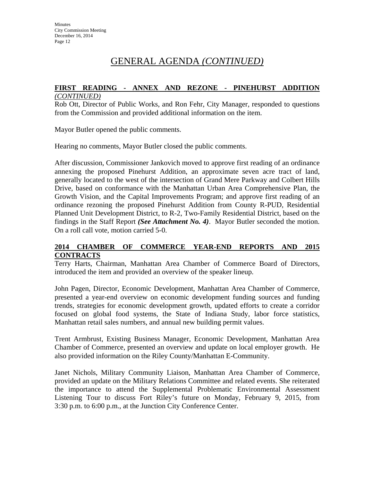# GENERAL AGENDA *(CONTINUED)*

# **FIRST READING - ANNEX AND REZONE - PINEHURST ADDITION**

#### *(CONTINUED)*

Rob Ott, Director of Public Works, and Ron Fehr, City Manager, responded to questions from the Commission and provided additional information on the item.

Mayor Butler opened the public comments.

Hearing no comments, Mayor Butler closed the public comments.

After discussion, Commissioner Jankovich moved to approve first reading of an ordinance annexing the proposed Pinehurst Addition, an approximate seven acre tract of land, generally located to the west of the intersection of Grand Mere Parkway and Colbert Hills Drive, based on conformance with the Manhattan Urban Area Comprehensive Plan, the Growth Vision, and the Capital Improvements Program; and approve first reading of an ordinance rezoning the proposed Pinehurst Addition from County R-PUD, Residential Planned Unit Development District, to R-2, Two-Family Residential District, based on the findings in the Staff Report *(See Attachment No. 4)*. Mayor Butler seconded the motion. On a roll call vote, motion carried 5-0.

## **2014 CHAMBER OF COMMERCE YEAR-END REPORTS AND 2015 CONTRACTS**

Terry Harts, Chairman, Manhattan Area Chamber of Commerce Board of Directors, introduced the item and provided an overview of the speaker lineup.

John Pagen, Director, Economic Development, Manhattan Area Chamber of Commerce, presented a year-end overview on economic development funding sources and funding trends, strategies for economic development growth, updated efforts to create a corridor focused on global food systems, the State of Indiana Study, labor force statistics, Manhattan retail sales numbers, and annual new building permit values.

Trent Armbrust, Existing Business Manager, Economic Development, Manhattan Area Chamber of Commerce, presented an overview and update on local employer growth. He also provided information on the Riley County/Manhattan E-Community.

Janet Nichols, Military Community Liaison, Manhattan Area Chamber of Commerce, provided an update on the Military Relations Committee and related events. She reiterated the importance to attend the Supplemental Problematic Environmental Assessment Listening Tour to discuss Fort Riley's future on Monday, February 9, 2015, from 3:30 p.m. to 6:00 p.m., at the Junction City Conference Center.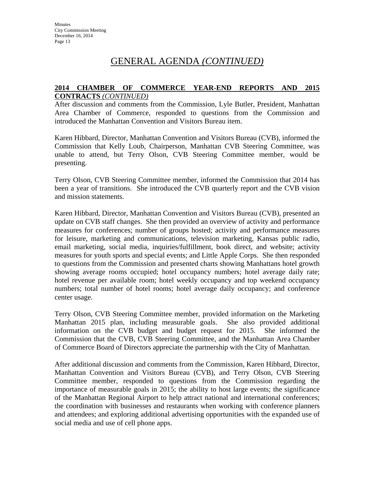# GENERAL AGENDA *(CONTINUED)*

### **2014 CHAMBER OF COMMERCE YEAR-END REPORTS AND 2015 CONTRACTS** *(CONTINUED)*

After discussion and comments from the Commission, Lyle Butler, President, Manhattan Area Chamber of Commerce, responded to questions from the Commission and introduced the Manhattan Convention and Visitors Bureau item.

Karen Hibbard, Director, Manhattan Convention and Visitors Bureau (CVB), informed the Commission that Kelly Loub, Chairperson, Manhattan CVB Steering Committee, was unable to attend, but Terry Olson, CVB Steering Committee member, would be presenting.

Terry Olson, CVB Steering Committee member, informed the Commission that 2014 has been a year of transitions. She introduced the CVB quarterly report and the CVB vision and mission statements.

Karen Hibbard, Director, Manhattan Convention and Visitors Bureau (CVB), presented an update on CVB staff changes. She then provided an overview of activity and performance measures for conferences; number of groups hosted; activity and performance measures for leisure, marketing and communications, television marketing, Kansas public radio, email marketing, social media, inquiries/fulfillment, book direct, and website; activity measures for youth sports and special events; and Little Apple Corps. She then responded to questions from the Commission and presented charts showing Manhattans hotel growth showing average rooms occupied; hotel occupancy numbers; hotel average daily rate; hotel revenue per available room; hotel weekly occupancy and top weekend occupancy numbers; total number of hotel rooms; hotel average daily occupancy; and conference center usage.

Terry Olson, CVB Steering Committee member, provided information on the Marketing Manhattan 2015 plan, including measurable goals. She also provided additional information on the CVB budget and budget request for 2015. She informed the Commission that the CVB, CVB Steering Committee, and the Manhattan Area Chamber of Commerce Board of Directors appreciate the partnership with the City of Manhattan.

After additional discussion and comments from the Commission, Karen Hibbard, Director, Manhattan Convention and Visitors Bureau (CVB), and Terry Olson, CVB Steering Committee member, responded to questions from the Commission regarding the importance of measurable goals in 2015; the ability to host large events; the significance of the Manhattan Regional Airport to help attract national and international conferences; the coordination with businesses and restaurants when working with conference planners and attendees; and exploring additional advertising opportunities with the expanded use of social media and use of cell phone apps.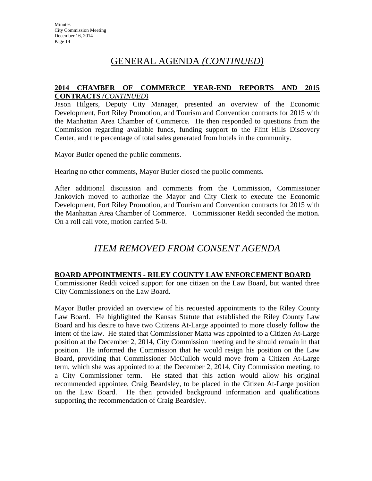# GENERAL AGENDA *(CONTINUED)*

### **2014 CHAMBER OF COMMERCE YEAR-END REPORTS AND 2015 CONTRACTS** *(CONTINUED)*

Jason Hilgers, Deputy City Manager, presented an overview of the Economic Development, Fort Riley Promotion, and Tourism and Convention contracts for 2015 with the Manhattan Area Chamber of Commerce. He then responded to questions from the Commission regarding available funds, funding support to the Flint Hills Discovery Center, and the percentage of total sales generated from hotels in the community.

Mayor Butler opened the public comments.

Hearing no other comments, Mayor Butler closed the public comments.

After additional discussion and comments from the Commission, Commissioner Jankovich moved to authorize the Mayor and City Clerk to execute the Economic Development, Fort Riley Promotion, and Tourism and Convention contracts for 2015 with the Manhattan Area Chamber of Commerce. Commissioner Reddi seconded the motion. On a roll call vote, motion carried 5-0.

# *ITEM REMOVED FROM CONSENT AGENDA*

#### **BOARD APPOINTMENTS - RILEY COUNTY LAW ENFORCEMENT BOARD**

Commissioner Reddi voiced support for one citizen on the Law Board, but wanted three City Commissioners on the Law Board.

Mayor Butler provided an overview of his requested appointments to the Riley County Law Board. He highlighted the Kansas Statute that established the Riley County Law Board and his desire to have two Citizens At-Large appointed to more closely follow the intent of the law. He stated that Commissioner Matta was appointed to a Citizen At-Large position at the December 2, 2014, City Commission meeting and he should remain in that position. He informed the Commission that he would resign his position on the Law Board, providing that Commissioner McCulloh would move from a Citizen At-Large term, which she was appointed to at the December 2, 2014, City Commission meeting, to a City Commissioner term. He stated that this action would allow his original recommended appointee, Craig Beardsley, to be placed in the Citizen At-Large position on the Law Board. He then provided background information and qualifications supporting the recommendation of Craig Beardsley.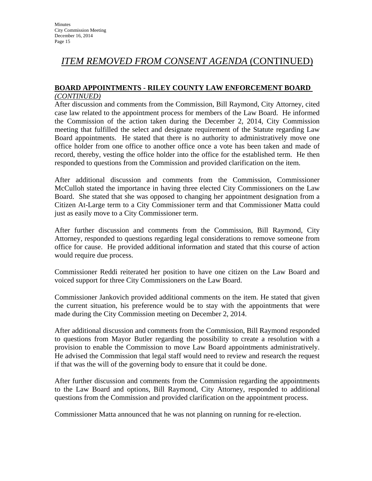# *ITEM REMOVED FROM CONSENT AGENDA* (CONTINUED)

### **BOARD APPOINTMENTS - RILEY COUNTY LAW ENFORCEMENT BOARD**

#### *(CONTINUED)*

After discussion and comments from the Commission, Bill Raymond, City Attorney, cited case law related to the appointment process for members of the Law Board. He informed the Commission of the action taken during the December 2, 2014, City Commission meeting that fulfilled the select and designate requirement of the Statute regarding Law Board appointments. He stated that there is no authority to administratively move one office holder from one office to another office once a vote has been taken and made of record, thereby, vesting the office holder into the office for the established term. He then responded to questions from the Commission and provided clarification on the item.

After additional discussion and comments from the Commission, Commissioner McCulloh stated the importance in having three elected City Commissioners on the Law Board. She stated that she was opposed to changing her appointment designation from a Citizen At-Large term to a City Commissioner term and that Commissioner Matta could just as easily move to a City Commissioner term.

After further discussion and comments from the Commission, Bill Raymond, City Attorney, responded to questions regarding legal considerations to remove someone from office for cause. He provided additional information and stated that this course of action would require due process.

Commissioner Reddi reiterated her position to have one citizen on the Law Board and voiced support for three City Commissioners on the Law Board.

Commissioner Jankovich provided additional comments on the item. He stated that given the current situation, his preference would be to stay with the appointments that were made during the City Commission meeting on December 2, 2014.

After additional discussion and comments from the Commission, Bill Raymond responded to questions from Mayor Butler regarding the possibility to create a resolution with a provision to enable the Commission to move Law Board appointments administratively. He advised the Commission that legal staff would need to review and research the request if that was the will of the governing body to ensure that it could be done.

After further discussion and comments from the Commission regarding the appointments to the Law Board and options, Bill Raymond, City Attorney, responded to additional questions from the Commission and provided clarification on the appointment process.

Commissioner Matta announced that he was not planning on running for re-election.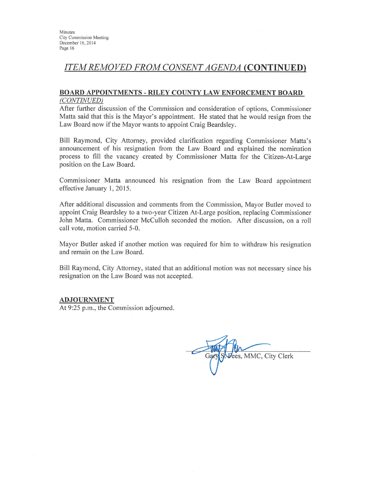# **ITEM REMOVED FROM CONSENT AGENDA (CONTINUED)**

#### **BOARD APPOINTMENTS - RILEY COUNTY LAW ENFORCEMENT BOARD** (CONTINUED)

After further discussion of the Commission and consideration of options, Commissioner Matta said that this is the Mayor's appointment. He stated that he would resign from the Law Board now if the Mayor wants to appoint Craig Beardsley.

Bill Raymond, City Attorney, provided clarification regarding Commissioner Matta's announcement of his resignation from the Law Board and explained the nomination process to fill the vacancy created by Commissioner Matta for the Citizen-At-Large position on the Law Board.

Commissioner Matta announced his resignation from the Law Board appointment effective January 1, 2015.

After additional discussion and comments from the Commission, Mayor Butler moved to appoint Craig Beardsley to a two-year Citizen At-Large position, replacing Commissioner John Matta. Commissioner McCulloh seconded the motion. After discussion, on a roll call vote, motion carried 5-0.

Mayor Butler asked if another motion was required for him to withdraw his resignation and remain on the Law Board.

Bill Raymond, City Attorney, stated that an additional motion was not necessary since his resignation on the Law Board was not accepted.

#### **ADJOURNMENT**

At 9:25 p.m., the Commission adjourned.

Pees, MMC, City Clerk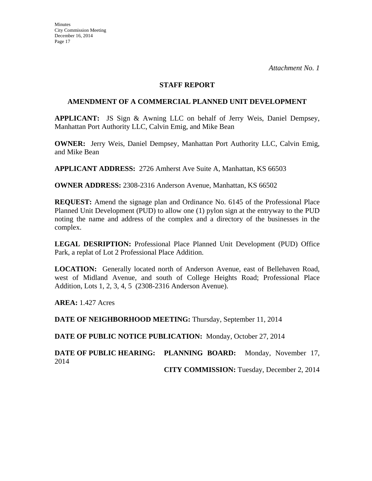#### **STAFF REPORT**

#### **AMENDMENT OF A COMMERCIAL PLANNED UNIT DEVELOPMENT**

**APPLICANT:** JS Sign & Awning LLC on behalf of Jerry Weis, Daniel Dempsey, Manhattan Port Authority LLC, Calvin Emig, and Mike Bean

**OWNER:** Jerry Weis, Daniel Dempsey, Manhattan Port Authority LLC, Calvin Emig, and Mike Bean

**APPLICANT ADDRESS:** 2726 Amherst Ave Suite A, Manhattan, KS 66503

**OWNER ADDRESS:** 2308-2316 Anderson Avenue, Manhattan, KS 66502

**REQUEST:** Amend the signage plan and Ordinance No. 6145 of the Professional Place Planned Unit Development (PUD) to allow one (1) pylon sign at the entryway to the PUD noting the name and address of the complex and a directory of the businesses in the complex.

**LEGAL DESRIPTION:** Professional Place Planned Unit Development (PUD) Office Park, a replat of Lot 2 Professional Place Addition.

**LOCATION:** Generally located north of Anderson Avenue, east of Bellehaven Road, west of Midland Avenue, and south of College Heights Road; Professional Place Addition, Lots 1, 2, 3, 4, 5 (2308-2316 Anderson Avenue).

**AREA:** 1.427 Acres

**DATE OF NEIGHBORHOOD MEETING:** Thursday, September 11, 2014

**DATE OF PUBLIC NOTICE PUBLICATION:** Monday, October 27, 2014

**DATE OF PUBLIC HEARING: PLANNING BOARD:** Monday, November 17, 2014

**CITY COMMISSION:** Tuesday, December 2, 2014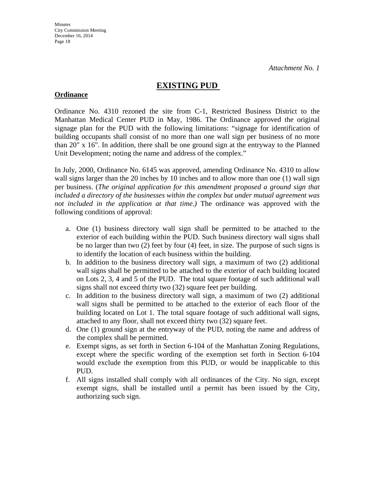## **EXISTING PUD**

### **Ordinance**

Ordinance No. 4310 rezoned the site from C-1, Restricted Business District to the Manhattan Medical Center PUD in May, 1986. The Ordinance approved the original signage plan for the PUD with the following limitations: "signage for identification of building occupants shall consist of no more than one wall sign per business of no more than 20" x 16". In addition, there shall be one ground sign at the entryway to the Planned Unit Development; noting the name and address of the complex."

In July, 2000, Ordinance No. 6145 was approved, amending Ordinance No. 4310 to allow wall signs larger than the 20 inches by 10 inches and to allow more than one (1) wall sign per business. (*The original application for this amendment proposed a ground sign that included a directory of the businesses within the complex but under mutual agreement was not included in the application at that time.)* The ordinance was approved with the following conditions of approval:

- a. One (1) business directory wall sign shall be permitted to be attached to the exterior of each building within the PUD. Such business directory wall signs shall be no larger than two (2) feet by four (4) feet, in size. The purpose of such signs is to identify the location of each business within the building.
- b. In addition to the business directory wall sign, a maximum of two (2) additional wall signs shall be permitted to be attached to the exterior of each building located on Lots 2, 3, 4 and 5 of the PUD. The total square footage of such additional wall signs shall not exceed thirty two (32) square feet per building.
- c. In addition to the business directory wall sign, a maximum of two (2) additional wall signs shall be permitted to be attached to the exterior of each floor of the building located on Lot 1. The total square footage of such additional wall signs, attached to any floor, shall not exceed thirty two (32) square feet.
- d. One (1) ground sign at the entryway of the PUD, noting the name and address of the complex shall be permitted.
- e. Exempt signs, as set forth in Section 6-104 of the Manhattan Zoning Regulations, except where the specific wording of the exemption set forth in Section 6-104 would exclude the exemption from this PUD, or would be inapplicable to this PUD.
- f. All signs installed shall comply with all ordinances of the City. No sign, except exempt signs, shall be installed until a permit has been issued by the City, authorizing such sign.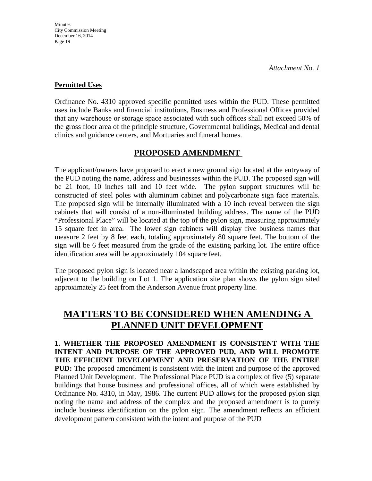## **Permitted Uses**

Ordinance No. 4310 approved specific permitted uses within the PUD. These permitted uses include Banks and financial institutions, Business and Professional Offices provided that any warehouse or storage space associated with such offices shall not exceed 50% of the gross floor area of the principle structure, Governmental buildings, Medical and dental clinics and guidance centers, and Mortuaries and funeral homes.

# **PROPOSED AMENDMENT**

The applicant/owners have proposed to erect a new ground sign located at the entryway of the PUD noting the name, address and businesses within the PUD. The proposed sign will be 21 foot, 10 inches tall and 10 feet wide. The pylon support structures will be constructed of steel poles with aluminum cabinet and polycarbonate sign face materials. The proposed sign will be internally illuminated with a 10 inch reveal between the sign cabinets that will consist of a non-illuminated building address. The name of the PUD "Professional Place" will be located at the top of the pylon sign, measuring approximately 15 square feet in area. The lower sign cabinets will display five business names that measure 2 feet by 8 feet each, totaling approximately 80 square feet. The bottom of the sign will be 6 feet measured from the grade of the existing parking lot. The entire office identification area will be approximately 104 square feet.

The proposed pylon sign is located near a landscaped area within the existing parking lot, adjacent to the building on Lot 1. The application site plan shows the pylon sign sited approximately 25 feet from the Anderson Avenue front property line.

# **MATTERS TO BE CONSIDERED WHEN AMENDING A PLANNED UNIT DEVELOPMENT**

**1. WHETHER THE PROPOSED AMENDMENT IS CONSISTENT WITH THE INTENT AND PURPOSE OF THE APPROVED PUD, AND WILL PROMOTE THE EFFICIENT DEVELOPMENT AND PRESERVATION OF THE ENTIRE PUD:** The proposed amendment is consistent with the intent and purpose of the approved Planned Unit Development. The Professional Place PUD is a complex of five (5) separate buildings that house business and professional offices, all of which were established by Ordinance No. 4310, in May, 1986. The current PUD allows for the proposed pylon sign noting the name and address of the complex and the proposed amendment is to purely include business identification on the pylon sign. The amendment reflects an efficient development pattern consistent with the intent and purpose of the PUD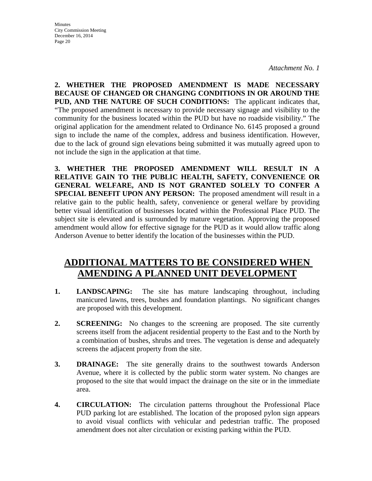**Minutes** City Commission Meeting December 16, 2014 Page 20

*Attachment No. 1*

**2. WHETHER THE PROPOSED AMENDMENT IS MADE NECESSARY BECAUSE OF CHANGED OR CHANGING CONDITIONS IN OR AROUND THE PUD, AND THE NATURE OF SUCH CONDITIONS:** The applicant indicates that, "The proposed amendment is necessary to provide necessary signage and visibility to the community for the business located within the PUD but have no roadside visibility." The original application for the amendment related to Ordinance No. 6145 proposed a ground sign to include the name of the complex, address and business identification. However, due to the lack of ground sign elevations being submitted it was mutually agreed upon to not include the sign in the application at that time.

**3. WHETHER THE PROPOSED AMENDMENT WILL RESULT IN A RELATIVE GAIN TO THE PUBLIC HEALTH, SAFETY, CONVENIENCE OR GENERAL WELFARE, AND IS NOT GRANTED SOLELY TO CONFER A SPECIAL BENEFIT UPON ANY PERSON:** The proposed amendment will result in a relative gain to the public health, safety, convenience or general welfare by providing better visual identification of businesses located within the Professional Place PUD. The subject site is elevated and is surrounded by mature vegetation. Approving the proposed amendment would allow for effective signage for the PUD as it would allow traffic along Anderson Avenue to better identify the location of the businesses within the PUD.

# **ADDITIONAL MATTERS TO BE CONSIDERED WHEN AMENDING A PLANNED UNIT DEVELOPMENT**

- **1. LANDSCAPING:** The site has mature landscaping throughout, including manicured lawns, trees, bushes and foundation plantings. No significant changes are proposed with this development.
- **2. SCREENING:** No changes to the screening are proposed. The site currently screens itself from the adjacent residential property to the East and to the North by a combination of bushes, shrubs and trees. The vegetation is dense and adequately screens the adjacent property from the site.
- **3. DRAINAGE:** The site generally drains to the southwest towards Anderson Avenue, where it is collected by the public storm water system. No changes are proposed to the site that would impact the drainage on the site or in the immediate area.
- **4. CIRCULATION:** The circulation patterns throughout the Professional Place PUD parking lot are established. The location of the proposed pylon sign appears to avoid visual conflicts with vehicular and pedestrian traffic. The proposed amendment does not alter circulation or existing parking within the PUD.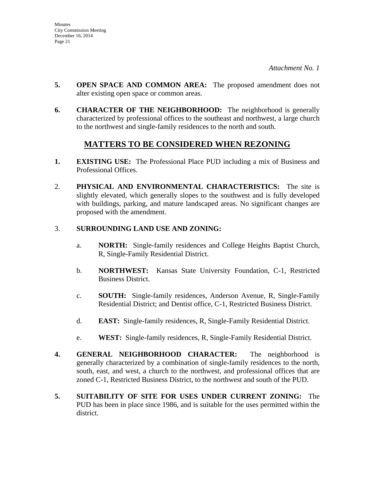- **5. OPEN SPACE AND COMMON AREA:** The proposed amendment does not alter existing open space or common areas.
- **6. CHARACTER OF THE NEIGHBORHOOD:** The neighborhood is generally characterized by professional offices to the southeast and northwest, a large church to the northwest and single-family residences to the north and south.

# **MATTERS TO BE CONSIDERED WHEN REZONING**

- **1. EXISTING USE:** The Professional Place PUD including a mix of Business and Professional Offices.
- 2. **PHYSICAL AND ENVIRONMENTAL CHARACTERISTICS:** The site is slightly elevated, which generally slopes to the southwest and is fully developed with buildings, parking, and mature landscaped areas. No significant changes are proposed with the amendment.

## 3. **SURROUNDING LAND USE AND ZONING:**

- a. **NORTH:** Single-family residences and College Heights Baptist Church, R, Single-Family Residential District.
- b. **NORTHWEST:** Kansas State University Foundation, C-1, Restricted Business District.
- c. **SOUTH:** Single-family residences, Anderson Avenue, R, Single-Family Residential District; and Dentist office, C-1, Restricted Business District.
- d. **EAST:** Single-family residences, R, Single-Family Residential District.
- e. **WEST:** Single-family residences, R, Single-Family Residential District.
- **4. GENERAL NEIGHBORHOOD CHARACTER:** The neighborhood is generally characterized by a combination of single-family residences to the north, south, east, and west, a church to the northwest, and professional offices that are zoned C-1, Restricted Business District, to the northwest and south of the PUD.
- **5. SUITABILITY OF SITE FOR USES UNDER CURRENT ZONING:** The PUD has been in place since 1986, and is suitable for the uses permitted within the district.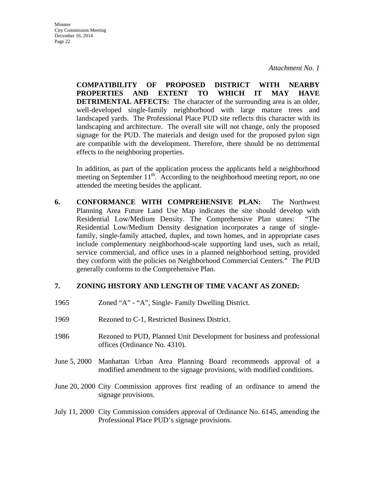**Minutes** City Commission Meeting December 16, 2014 Page 22

> **COMPATIBILITY OF PROPOSED DISTRICT WITH NEARBY PROPERTIES AND EXTENT TO WHICH IT MAY HAVE DETRIMENTAL AFFECTS:** The character of the surrounding area is an older, well-developed single-family neighborhood with large mature trees and landscaped yards. The Professional Place PUD site reflects this character with its landscaping and architecture. The overall site will not change, only the proposed signage for the PUD. The materials and design used for the proposed pylon sign are compatible with the development. Therefore, there should be no detrimental effects to the neighboring properties.

> In addition, as part of the application process the applicants held a neighborhood meeting on September  $11<sup>th</sup>$ . According to the neighborhood meeting report, no one attended the meeting besides the applicant.

**6. CONFORMANCE WITH COMPREHENSIVE PLAN:** The Northwest Planning Area Future Land Use Map indicates the site should develop with Residential Low/Medium Density. The Comprehensive Plan states: "The Residential Low/Medium Density designation incorporates a range of singlefamily, single-family attached, duplex, and town homes, and in appropriate cases include complementary neighborhood-scale supporting land uses, such as retail, service commercial, and office uses in a planned neighborhood setting, provided they conform with the policies on Neighborhood Commercial Centers." The PUD generally conforms to the Comprehensive Plan.

#### **7. ZONING HISTORY AND LENGTH OF TIME VACANT AS ZONED:**

- 1965 Zoned "A" "A", Single- Family Dwelling District.
- 1969 Rezoned to C-1, Restricted Business District.
- 1986 Rezoned to PUD, Planned Unit Development for business and professional offices (Ordinance No. 4310).
- June 5, 2000 Manhattan Urban Area Planning Board recommends approval of a modified amendment to the signage provisions, with modified conditions.
- June 20, 2000 City Commission approves first reading of an ordinance to amend the signage provisions.
- July 11, 2000 City Commission considers approval of Ordinance No. 6145, amending the Professional Place PUD's signage provisions.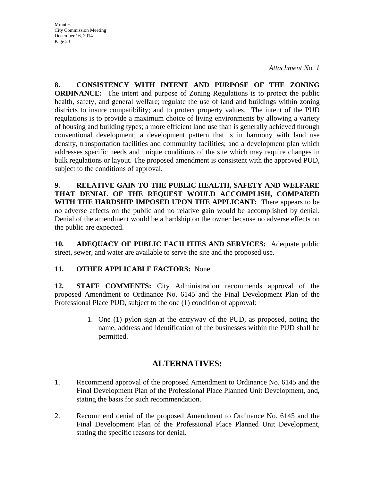**Minutes** City Commission Meeting December 16, 2014 Page 23

*Attachment No. 1*

**8. CONSISTENCY WITH INTENT AND PURPOSE OF THE ZONING ORDINANCE:** The intent and purpose of Zoning Regulations is to protect the public health, safety, and general welfare; regulate the use of land and buildings within zoning districts to insure compatibility; and to protect property values. The intent of the PUD regulations is to provide a maximum choice of living environments by allowing a variety of housing and building types; a more efficient land use than is generally achieved through conventional development; a development pattern that is in harmony with land use density, transportation facilities and community facilities; and a development plan which addresses specific needs and unique conditions of the site which may require changes in bulk regulations or layout. The proposed amendment is consistent with the approved PUD, subject to the conditions of approval.

**9. RELATIVE GAIN TO THE PUBLIC HEALTH, SAFETY AND WELFARE THAT DENIAL OF THE REQUEST WOULD ACCOMPLISH, COMPARED WITH THE HARDSHIP IMPOSED UPON THE APPLICANT:** There appears to be no adverse affects on the public and no relative gain would be accomplished by denial. Denial of the amendment would be a hardship on the owner because no adverse effects on the public are expected.

**10. ADEQUACY OF PUBLIC FACILITIES AND SERVICES:** Adequate public street, sewer, and water are available to serve the site and the proposed use.

## **11. OTHER APPLICABLE FACTORS:** None

**12. STAFF COMMENTS:** City Administration recommends approval of the proposed Amendment to Ordinance No. 6145 and the Final Development Plan of the Professional Place PUD, subject to the one (1) condition of approval:

> 1. One (1) pylon sign at the entryway of the PUD, as proposed, noting the name, address and identification of the businesses within the PUD shall be permitted.

# **ALTERNATIVES:**

- 1. Recommend approval of the proposed Amendment to Ordinance No. 6145 and the Final Development Plan of the Professional Place Planned Unit Development, and, stating the basis for such recommendation.
- 2. Recommend denial of the proposed Amendment to Ordinance No. 6145 and the Final Development Plan of the Professional Place Planned Unit Development, stating the specific reasons for denial.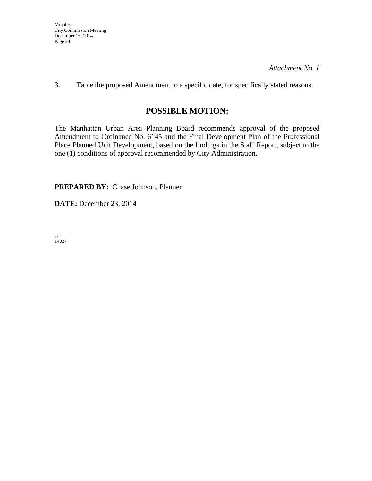3. Table the proposed Amendment to a specific date, for specifically stated reasons.

# **POSSIBLE MOTION:**

The Manhattan Urban Area Planning Board recommends approval of the proposed Amendment to Ordinance No. 6145 and the Final Development Plan of the Professional Place Planned Unit Development, based on the findings in the Staff Report, subject to the one (1) conditions of approval recommended by City Administration.

**PREPARED BY:** Chase Johnson, Planner

**DATE:** December 23, 2014

CJ 14037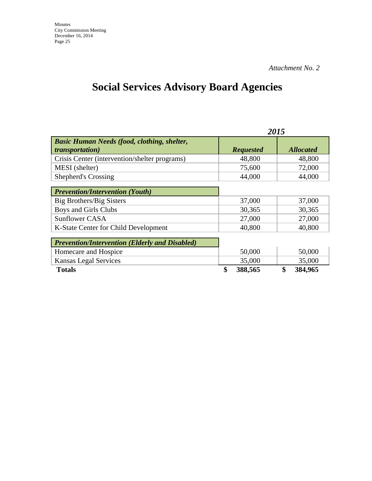# **Social Services Advisory Board Agencies**

|                                                                               | 2015             |                  |
|-------------------------------------------------------------------------------|------------------|------------------|
| <b>Basic Human Needs (food, clothing, shelter,</b><br><i>transportation</i> ) | <b>Requested</b> | <b>Allocated</b> |
| Crisis Center (intervention/shelter programs)                                 | 48,800           | 48,800           |
| MESI (shelter)                                                                | 75,600           | 72,000           |
| Shepherd's Crossing                                                           | 44,000           | 44,000           |
| <b>Prevention/Intervention (Youth)</b>                                        |                  |                  |
| <b>Big Brothers/Big Sisters</b>                                               | 37,000           | 37,000           |
| <b>Boys and Girls Clubs</b>                                                   | 30,365           | 30,365           |
| Sunflower CASA                                                                | 27,000           | 27,000           |
| K-State Center for Child Development                                          | 40,800           | 40,800           |
| <b>Prevention/Intervention (Elderly and Disabled)</b>                         |                  |                  |
| Homecare and Hospice                                                          | 50,000           | 50,000           |
| <b>Kansas Legal Services</b>                                                  | 35,000           | 35,000           |
| <b>Totals</b>                                                                 | \$<br>388,565    | \$<br>384,965    |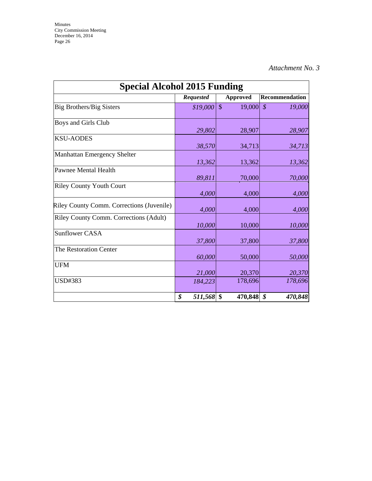| <b>Special Alcohol 2015 Funding</b>              |                  |                         |                                      |
|--------------------------------------------------|------------------|-------------------------|--------------------------------------|
|                                                  | Requested        | Approved                | Recommendation                       |
| <b>Big Brothers/Big Sisters</b>                  | \$19,000         | $\mathcal{S}$<br>19,000 | $\boldsymbol{\mathcal{S}}$<br>19,000 |
| Boys and Girls Club                              | 29,802           | 28,907                  | 28,907                               |
| <b>KSU-AODES</b>                                 | 38,570           | 34,713                  | 34,713                               |
| Manhattan Emergency Shelter                      | 13,362           | 13,362                  | 13,362                               |
| Pawnee Mental Health                             | 89,811           | 70,000                  | 70,000                               |
| <b>Riley County Youth Court</b>                  | 4,000            | 4,000                   | 4,000                                |
| <b>Riley County Comm. Corrections (Juvenile)</b> | 4,000            | 4,000                   | 4,000                                |
| Riley County Comm. Corrections (Adult)           | 10,000           | 10,000                  | 10,000                               |
| <b>Sunflower CASA</b>                            | 37,800           | 37,800                  | 37,800                               |
| The Restoration Center                           | 60,000           | 50,000                  | 50,000                               |
| <b>UFM</b>                                       | 21,000           | 20,370                  | 20,370                               |
| <b>USD#383</b>                                   | 184,223          | 178,696                 | 178,696                              |
|                                                  | \$<br>511,568 \$ | 470,848 \$              | 470,848                              |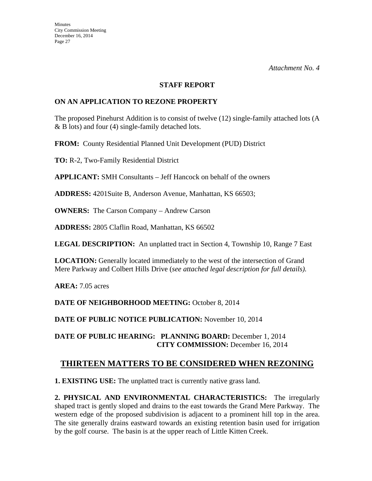#### **STAFF REPORT**

### **ON AN APPLICATION TO REZONE PROPERTY**

The proposed Pinehurst Addition is to consist of twelve (12) single-family attached lots (A & B lots) and four (4) single-family detached lots.

**FROM:** County Residential Planned Unit Development (PUD) District

**TO:** R-2, Two-Family Residential District

**APPLICANT:** SMH Consultants – Jeff Hancock on behalf of the owners

**ADDRESS:** 4201Suite B, Anderson Avenue, Manhattan, KS 66503;

**OWNERS:** The Carson Company – Andrew Carson

**ADDRESS:** 2805 Claflin Road, Manhattan, KS 66502

**LEGAL DESCRIPTION:** An unplatted tract in Section 4, Township 10, Range 7 East

**LOCATION:** Generally located immediately to the west of the intersection of Grand Mere Parkway and Colbert Hills Drive (*see attached legal description for full details).* 

**AREA:** 7.05 acres

### **DATE OF NEIGHBORHOOD MEETING:** October 8, 2014

**DATE OF PUBLIC NOTICE PUBLICATION:** November 10, 2014

**DATE OF PUBLIC HEARING: PLANNING BOARD:** December 1, 2014 **CITY COMMISSION:** December 16, 2014

# **THIRTEEN MATTERS TO BE CONSIDERED WHEN REZONING**

**1. EXISTING USE:** The unplatted tract is currently native grass land.

**2. PHYSICAL AND ENVIRONMENTAL CHARACTERISTICS:** The irregularly shaped tract is gently sloped and drains to the east towards the Grand Mere Parkway. The western edge of the proposed subdivision is adjacent to a prominent hill top in the area. The site generally drains eastward towards an existing retention basin used for irrigation by the golf course. The basin is at the upper reach of Little Kitten Creek.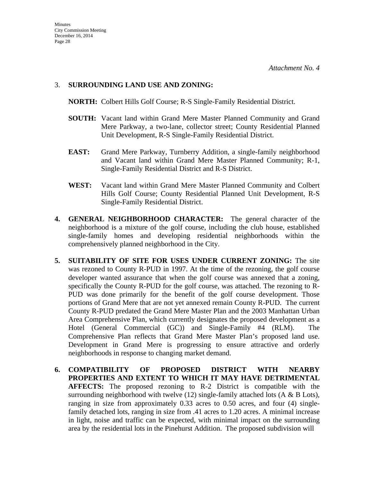### 3. **SURROUNDING LAND USE AND ZONING:**

**NORTH:** Colbert Hills Golf Course; R-S Single-Family Residential District.

- **SOUTH:** Vacant land within Grand Mere Master Planned Community and Grand Mere Parkway, a two-lane, collector street; County Residential Planned Unit Development, R-S Single-Family Residential District.
- **EAST:** Grand Mere Parkway, Turnberry Addition, a single-family neighborhood and Vacant land within Grand Mere Master Planned Community; R-1, Single-Family Residential District and R-S District.
- **WEST:** Vacant land within Grand Mere Master Planned Community and Colbert Hills Golf Course; County Residential Planned Unit Development, R-S Single-Family Residential District.
- **4. GENERAL NEIGHBORHOOD CHARACTER:** The general character of the neighborhood is a mixture of the golf course, including the club house, established single-family homes and developing residential neighborhoods within the comprehensively planned neighborhood in the City.
- **5. SUITABILITY OF SITE FOR USES UNDER CURRENT ZONING:** The site was rezoned to County R-PUD in 1997. At the time of the rezoning, the golf course developer wanted assurance that when the golf course was annexed that a zoning, specifically the County R-PUD for the golf course, was attached. The rezoning to R-PUD was done primarily for the benefit of the golf course development. Those portions of Grand Mere that are not yet annexed remain County R-PUD. The current County R-PUD predated the Grand Mere Master Plan and the 2003 Manhattan Urban Area Comprehensive Plan, which currently designates the proposed development as a Hotel (General Commercial (GC)) and Single-Family #4 (RLM). The Comprehensive Plan reflects that Grand Mere Master Plan's proposed land use. Development in Grand Mere is progressing to ensure attractive and orderly neighborhoods in response to changing market demand.
- **6. COMPATIBILITY OF PROPOSED DISTRICT WITH NEARBY PROPERTIES AND EXTENT TO WHICH IT MAY HAVE DETRIMENTAL AFFECTS:** The proposed rezoning to R-2 District is compatible with the surrounding neighborhood with twelve  $(12)$  single-family attached lots  $(A \& B \text{ Lots})$ , ranging in size from approximately 0.33 acres to 0.50 acres, and four (4) singlefamily detached lots, ranging in size from .41 acres to 1.20 acres. A minimal increase in light, noise and traffic can be expected, with minimal impact on the surrounding area by the residential lots in the Pinehurst Addition. The proposed subdivision will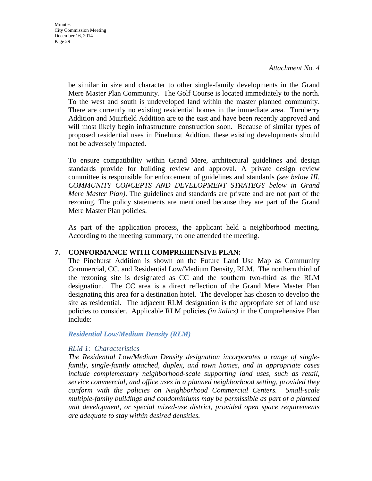be similar in size and character to other single-family developments in the Grand Mere Master Plan Community. The Golf Course is located immediately to the north. To the west and south is undeveloped land within the master planned community. There are currently no existing residential homes in the immediate area. Turnberry Addition and Muirfield Addition are to the east and have been recently approved and will most likely begin infrastructure construction soon. Because of similar types of proposed residential uses in Pinehurst Addtion, these existing developments should not be adversely impacted.

To ensure compatibility within Grand Mere, architectural guidelines and design standards provide for building review and approval. A private design review committee is responsible for enforcement of guidelines and standards *(see below III. COMMUNITY CONCEPTS AND DEVELOPMENT STRATEGY below in Grand Mere Master Plan)*. The guidelines and standards are private and are not part of the rezoning. The policy statements are mentioned because they are part of the Grand Mere Master Plan policies.

As part of the application process, the applicant held a neighborhood meeting. According to the meeting summary, no one attended the meeting.

#### **7. CONFORMANCE WITH COMPREHENSIVE PLAN:**

The Pinehurst Addition is shown on the Future Land Use Map as Community Commercial, CC, and Residential Low/Medium Density, RLM. The northern third of the rezoning site is designated as CC and the southern two-third as the RLM designation. The CC area is a direct reflection of the Grand Mere Master Plan designating this area for a destination hotel. The developer has chosen to develop the site as residential. The adjacent RLM designation is the appropriate set of land use policies to consider. Applicable RLM policies *(in italics)* in the Comprehensive Plan include:

#### *Residential Low/Medium Density (RLM)*

### *RLM 1: Characteristics*

*The Residential Low/Medium Density designation incorporates a range of singlefamily, single-family attached, duplex, and town homes, and in appropriate cases include complementary neighborhood-scale supporting land uses, such as retail, service commercial, and office uses in a planned neighborhood setting, provided they conform with the policies on Neighborhood Commercial Centers. Small-scale multiple-family buildings and condominiums may be permissible as part of a planned unit development, or special mixed-use district, provided open space requirements are adequate to stay within desired densities.*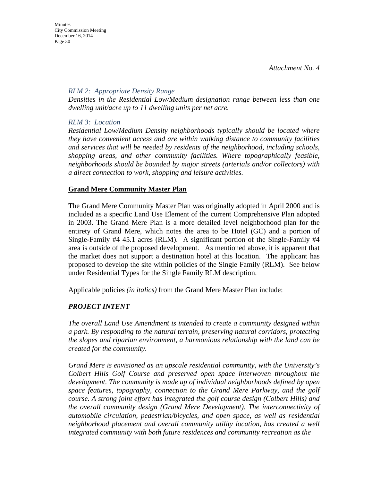#### *RLM 2: Appropriate Density Range*

*Densities in the Residential Low/Medium designation range between less than one dwelling unit/acre up to 11 dwelling units per net acre.* 

### *RLM 3: Location*

*Residential Low/Medium Density neighborhoods typically should be located where they have convenient access and are within walking distance to community facilities and services that will be needed by residents of the neighborhood, including schools, shopping areas, and other community facilities. Where topographically feasible, neighborhoods should be bounded by major streets (arterials and/or collectors) with a direct connection to work, shopping and leisure activities.* 

### **Grand Mere Community Master Plan**

The Grand Mere Community Master Plan was originally adopted in April 2000 and is included as a specific Land Use Element of the current Comprehensive Plan adopted in 2003. The Grand Mere Plan is a more detailed level neighborhood plan for the entirety of Grand Mere, which notes the area to be Hotel (GC) and a portion of Single-Family #4 45.1 acres (RLM). A significant portion of the Single-Family #4 area is outside of the proposed development. As mentioned above, it is apparent that the market does not support a destination hotel at this location. The applicant has proposed to develop the site within policies of the Single Family (RLM). See below under Residential Types for the Single Family RLM description.

Applicable policies *(in italics)* from the Grand Mere Master Plan include:

## *PROJECT INTENT*

*The overall Land Use Amendment is intended to create a community designed within a park. By responding to the natural terrain, preserving natural corridors, protecting the slopes and riparian environment, a harmonious relationship with the land can be created for the community.* 

*Grand Mere is envisioned as an upscale residential community, with the University's Colbert Hills Golf Course and preserved open space interwoven throughout the development. The community is made up of individual neighborhoods defined by open space features, topography, connection to the Grand Mere Parkway, and the golf course. A strong joint effort has integrated the golf course design (Colbert Hills) and the overall community design (Grand Mere Development). The interconnectivity of automobile circulation, pedestrian/bicycles, and open space, as well as residential neighborhood placement and overall community utility location, has created a well integrated community with both future residences and community recreation as the*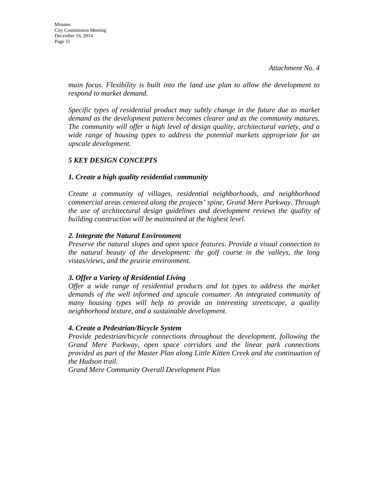*main focus. Flexibility is built into the land use plan to allow the development to respond to market demand.* 

*Specific types of residential product may subtly change in the future due to market demand as the development pattern becomes clearer and as the community matures. The community will offer a high level of design quality, architectural variety, and a wide range of housing types to address the potential markets appropriate for an upscale development.* 

## *5 KEY DESIGN CONCEPTS*

### *1. Create a high quality residential community*

*Create a community of villages, residential neighborhoods, and neighborhood commercial areas centered along the projects' spine, Grand Mere Parkway. Through the use of architectural design guidelines and development reviews the quality of building construction will be maintained at the highest level.* 

### *2. Integrate the Natural Environment*

*Preserve the natural slopes and open space features. Provide a visual connection to the natural beauty of the development: the golf course in the valleys, the long vistas/views, and the prairie environment.* 

### *3. Offer a Variety of Residential Living*

*Offer a wide range of residential products and lot types to address the market demands of the well informed and upscale consumer. An integrated community of many housing types will help to provide an interesting streetscape, a quality neighborhood texture, and a sustainable development.* 

### *4. Create a Pedestrian/Bicycle System*

*Provide pedestrian/bicycle connections throughout the development, following the Grand Mere Parkway, open space corridors and the linear park connections provided as part of the Master Plan along Little Kitten Creek and the continuation of the Hudson trail.* 

*Grand Mere Community Overall Development Plan*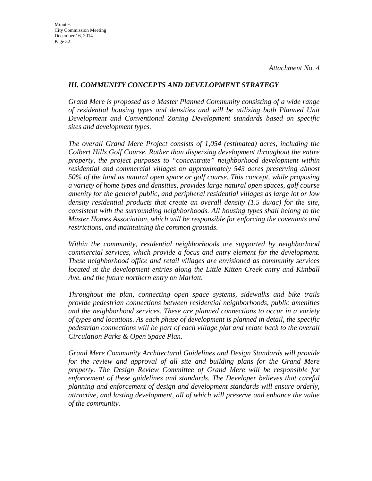### *III. COMMUNITY CONCEPTS AND DEVELOPMENT STRATEGY*

*Grand Mere is proposed as a Master Planned Community consisting of a wide range of residential housing types and densities and will be utilizing both Planned Unit Development and Conventional Zoning Development standards based on specific sites and development types.* 

*The overall Grand Mere Project consists of 1,054 (estimated) acres, including the Colbert Hills Golf Course. Rather than dispersing development throughout the entire property, the project purposes to "concentrate" neighborhood development within residential and commercial villages on approximately 543 acres preserving almost 50% of the land as natural open space or golf course. This concept, while proposing a variety of home types and densities, provides large natural open spaces, golf course amenity for the general public, and peripheral residential villages as large lot or low density residential products that create an overall density (1.5 du/ac) for the site, consistent with the surrounding neighborhoods. All housing types shall belong to the Master Homes Association, which will be responsible for enforcing the covenants and restrictions, and maintaining the common grounds.* 

*Within the community, residential neighborhoods are supported by neighborhood commercial services, which provide a focus and entry element for the development. These neighborhood office and retail villages are envisioned as community services located at the development entries along the Little Kitten Creek entry and Kimball Ave. and the future northern entry on Marlatt.* 

*Throughout the plan, connecting open space systems, sidewalks and bike trails provide pedestrian connections between residential neighborhoods, public amenities and the neighborhood services. These are planned connections to occur in a variety of types and locations. As each phase of development is planned in detail, the specific pedestrian connections will be part of each village plat and relate back to the overall Circulation Parks & Open Space Plan.* 

*Grand Mere Community Architectural Guidelines and Design Standards will provide for the review and approval of all site and building plans for the Grand Mere property. The Design Review Committee of Grand Mere will be responsible for enforcement of these guidelines and standards. The Developer believes that careful planning and enforcement of design and development standards will ensure orderly, attractive, and lasting development, all of which will preserve and enhance the value of the community.*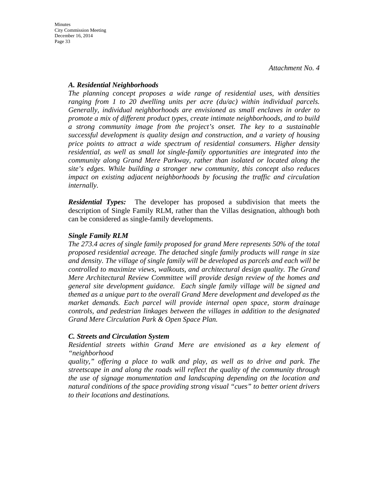### *A. Residential Neighborhoods*

*The planning concept proposes a wide range of residential uses, with densities ranging from 1 to 20 dwelling units per acre (du/ac) within individual parcels. Generally, individual neighborhoods are envisioned as small enclaves in order to promote a mix of different product types, create intimate neighborhoods, and to build a strong community image from the project's onset. The key to a sustainable successful development is quality design and construction, and a variety of housing price points to attract a wide spectrum of residential consumers. Higher density residential, as well as small lot single-family opportunities are integrated into the community along Grand Mere Parkway, rather than isolated or located along the site's edges. While building a stronger new community, this concept also reduces impact on existing adjacent neighborhoods by focusing the traffic and circulation internally.* 

*Residential Types:* The developer has proposed a subdivision that meets the description of Single Family RLM, rather than the Villas designation, although both can be considered as single-family developments.

### *Single Family RLM*

*The 273.4 acres of single family proposed for grand Mere represents 50% of the total proposed residential acreage. The detached single family products will range in size and density. The village of single family will be developed as parcels and each will be controlled to maximize views, walkouts, and architectural design quality. The Grand Mere Architectural Review Committee will provide design review of the homes and general site development guidance. Each single family village will be signed and themed as a unique part to the overall Grand Mere development and developed as the market demands. Each parcel will provide internal open space, storm drainage controls, and pedestrian linkages between the villages in addition to the designated Grand Mere Circulation Park & Open Space Plan.* 

### *C. Streets and Circulation System*

*Residential streets within Grand Mere are envisioned as a key element of "neighborhood* 

*quality," offering a place to walk and play, as well as to drive and park. The streetscape in and along the roads will reflect the quality of the community through the use of signage monumentation and landscaping depending on the location and natural conditions of the space providing strong visual "cues" to better orient drivers to their locations and destinations.*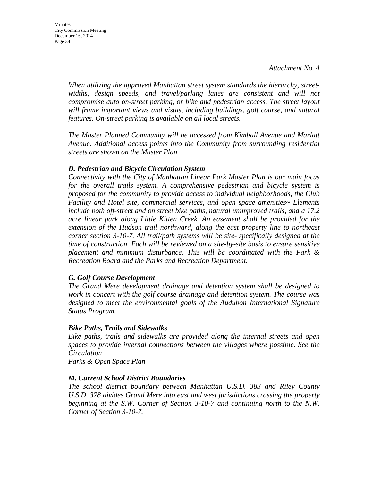*When utilizing the approved Manhattan street system standards the hierarchy, streetwidths, design speeds, and travel/parking lanes are consistent and will not compromise auto on-street parking, or bike and pedestrian access. The street layout will frame important views and vistas, including buildings, golf course, and natural features. On-street parking is available on all local streets.* 

*The Master Planned Community will be accessed from Kimball Avenue and Marlatt Avenue. Additional access points into the Community from surrounding residential streets are shown on the Master Plan.* 

#### *D. Pedestrian and Bicycle Circulation System*

*Connectivity with the City of Manhattan Linear Park Master Plan is our main focus for the overall trails system. A comprehensive pedestrian and bicycle system is proposed for the community to provide access to individual neighborhoods, the Club Facility and Hotel site, commercial services, and open space amenities~ Elements include both off-street and on street bike paths, natural unimproved trails, and a 17.2 acre linear park along Little Kitten Creek. An easement shall be provided for the extension of the Hudson trail northward, along the east property line to northeast corner section 3-10-7. All trail/path systems will be site- specifically designed at the time of construction. Each will be reviewed on a site-by-site basis to ensure sensitive placement and minimum disturbance. This will be coordinated with the Park & Recreation Board and the Parks and Recreation Department.* 

### *G. Golf Course Development*

*The Grand Mere development drainage and detention system shall be designed to work in concert with the golf course drainage and detention system. The course was designed to meet the environmental goals of the Audubon International Signature Status Program.* 

#### *Bike Paths, Trails and Sidewalks*

*Bike paths, trails and sidewalks are provided along the internal streets and open spaces to provide internal connections between the villages where possible. See the Circulation* 

*Parks & Open Space Plan* 

#### *M. Current School District Boundaries*

*The school district boundary between Manhattan U.S.D. 383 and Riley County U.S.D. 378 divides Grand Mere into east and west jurisdictions crossing the property beginning at the S.W. Corner of Section 3-10-7 and continuing north to the N.W. Corner of Section 3-10-7.*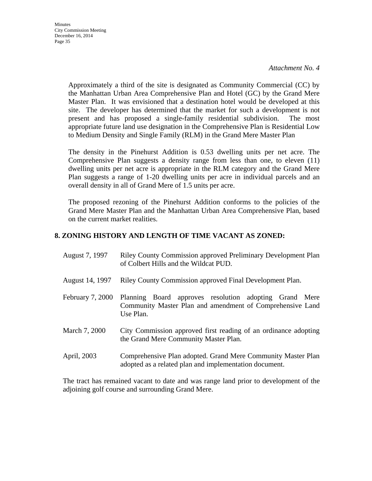**Minutes** City Commission Meeting December 16, 2014 Page 35

*Attachment No. 4*

Approximately a third of the site is designated as Community Commercial (CC) by the Manhattan Urban Area Comprehensive Plan and Hotel (GC) by the Grand Mere Master Plan. It was envisioned that a destination hotel would be developed at this site. The developer has determined that the market for such a development is not present and has proposed a single-family residential subdivision. The most appropriate future land use designation in the Comprehensive Plan is Residential Low to Medium Density and Single Family (RLM) in the Grand Mere Master Plan

The density in the Pinehurst Addition is 0.53 dwelling units per net acre. The Comprehensive Plan suggests a density range from less than one, to eleven (11) dwelling units per net acre is appropriate in the RLM category and the Grand Mere Plan suggests a range of 1-20 dwelling units per acre in individual parcels and an overall density in all of Grand Mere of 1.5 units per acre.

The proposed rezoning of the Pinehurst Addition conforms to the policies of the Grand Mere Master Plan and the Manhattan Urban Area Comprehensive Plan, based on the current market realities.

### **8. ZONING HISTORY AND LENGTH OF TIME VACANT AS ZONED:**

| August 7, 1997 | Riley County Commission approved Preliminary Development Plan |
|----------------|---------------------------------------------------------------|
|                | of Colbert Hills and the Wildcat PUD.                         |

- August 14, 1997 Riley County Commission approved Final Development Plan.
- February 7, 2000 Planning Board approves resolution adopting Grand Mere Community Master Plan and amendment of Comprehensive Land Use Plan.
- March 7, 2000 City Commission approved first reading of an ordinance adopting the Grand Mere Community Master Plan.
- April, 2003 Comprehensive Plan adopted. Grand Mere Community Master Plan adopted as a related plan and implementation document.

The tract has remained vacant to date and was range land prior to development of the adjoining golf course and surrounding Grand Mere.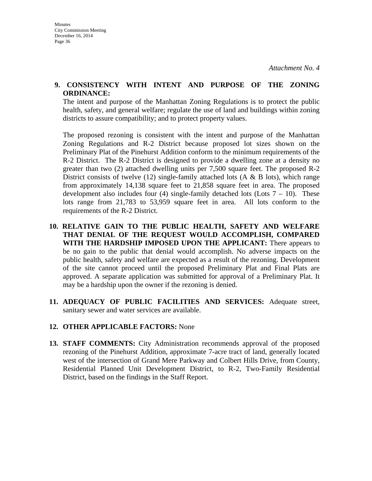### **9. CONSISTENCY WITH INTENT AND PURPOSE OF THE ZONING ORDINANCE:**

The intent and purpose of the Manhattan Zoning Regulations is to protect the public health, safety, and general welfare; regulate the use of land and buildings within zoning districts to assure compatibility; and to protect property values.

The proposed rezoning is consistent with the intent and purpose of the Manhattan Zoning Regulations and R-2 District because proposed lot sizes shown on the Preliminary Plat of the Pinehurst Addition conform to the minimum requirements of the R-2 District. The R-2 District is designed to provide a dwelling zone at a density no greater than two (2) attached dwelling units per 7,500 square feet. The proposed R-2 District consists of twelve (12) single-family attached lots (A  $\&$  B lots), which range from approximately 14,138 square feet to 21,858 square feet in area. The proposed development also includes four (4) single-family detached lots (Lots  $7 - 10$ ). These lots range from 21,783 to 53,959 square feet in area. All lots conform to the requirements of the R-2 District.

- **10. RELATIVE GAIN TO THE PUBLIC HEALTH, SAFETY AND WELFARE THAT DENIAL OF THE REQUEST WOULD ACCOMPLISH, COMPARED WITH THE HARDSHIP IMPOSED UPON THE APPLICANT:** There appears to be no gain to the public that denial would accomplish. No adverse impacts on the public health, safety and welfare are expected as a result of the rezoning. Development of the site cannot proceed until the proposed Preliminary Plat and Final Plats are approved. A separate application was submitted for approval of a Preliminary Plat. It may be a hardship upon the owner if the rezoning is denied.
- **11. ADEQUACY OF PUBLIC FACILITIES AND SERVICES:** Adequate street, sanitary sewer and water services are available.

### **12. OTHER APPLICABLE FACTORS:** None

**13. STAFF COMMENTS:** City Administration recommends approval of the proposed rezoning of the Pinehurst Addition, approximate 7-acre tract of land, generally located west of the intersection of Grand Mere Parkway and Colbert Hills Drive, from County, Residential Planned Unit Development District, to R-2, Two-Family Residential District, based on the findings in the Staff Report.